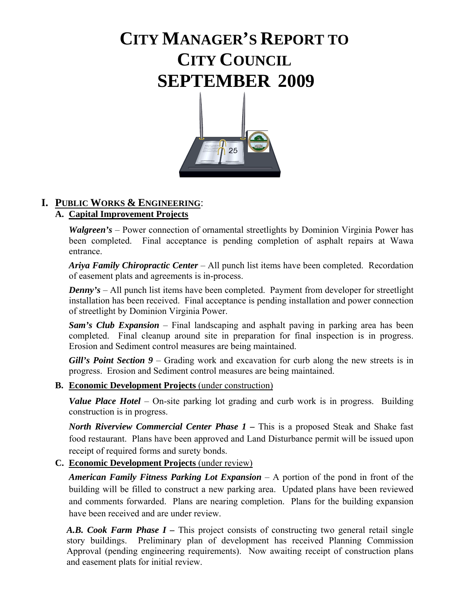# **CITY MANAGER'S REPORT TO CITY COUNCIL SEPTEMBER 2009**



# **I. PUBLIC WORKS & ENGINEERING**:

# **A. Capital Improvement Projects**

*Walgreen's* – Power connection of ornamental streetlights by Dominion Virginia Power has been completed. Final acceptance is pending completion of asphalt repairs at Wawa entrance.

*Ariya Family Chiropractic Center* – All punch list items have been completed. Recordation of easement plats and agreements is in-process.

*Denny's* – All punch list items have been completed. Payment from developer for streetlight installation has been received. Final acceptance is pending installation and power connection of streetlight by Dominion Virginia Power.

*Sam's Club Expansion* – Final landscaping and asphalt paving in parking area has been completed. Final cleanup around site in preparation for final inspection is in progress. Erosion and Sediment control measures are being maintained.

*Gill's Point Section 9 – Grading work and excavation for curb along the new streets is in* progress. Erosion and Sediment control measures are being maintained.

### **B. Economic Development Projects** (under construction)

*Value Place Hotel –* On-site parking lot grading and curb work is in progress. Building construction is in progress.

*North Riverview Commercial Center Phase 1 –* This is a proposed Steak and Shake fast food restaurant. Plans have been approved and Land Disturbance permit will be issued upon receipt of required forms and surety bonds.

### **C. Economic Development Projects** (under review)

*American Family Fitness Parking Lot Expansion* – A portion of the pond in front of the building will be filled to construct a new parking area. Updated plans have been reviewed and comments forwarded. Plans are nearing completion. Plans for the building expansion have been received and are under review.

*A.B. Cook Farm Phase I –* This project consists of constructing two general retail single story buildings. Preliminary plan of development has received Planning Commission Approval (pending engineering requirements). Now awaiting receipt of construction plans and easement plats for initial review.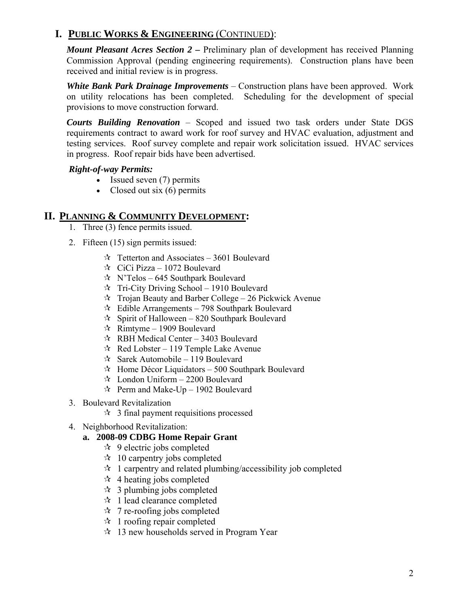*Mount Pleasant Acres Section 2 –* Preliminary plan of development has received Planning Commission Approval (pending engineering requirements). Construction plans have been received and initial review is in progress.

*White Bank Park Drainage Improvements* – Construction plans have been approved. Work on utility relocations has been completed. Scheduling for the development of special provisions to move construction forward.

*Courts Building Renovation* – Scoped and issued two task orders under State DGS requirements contract to award work for roof survey and HVAC evaluation, adjustment and testing services. Roof survey complete and repair work solicitation issued. HVAC services in progress. Roof repair bids have been advertised.

### *Right-of-way Permits:*

- Issued seven (7) permits
- Closed out six  $(6)$  permits

### **II. PLANNING & COMMUNITY DEVELOPMENT:**

- 1. Three (3) fence permits issued.
- 2. Fifteen (15) sign permits issued:
	- $\approx$  Tetterton and Associates 3601 Boulevard
	- $\approx$  CiCi Pizza 1072 Boulevard
	- $\forall$  N'Telos 645 Southpark Boulevard
	- $\hat{x}$  Tri-City Driving School 1910 Boulevard
	- $\approx$  Trojan Beauty and Barber College 26 Pickwick Avenue
	- $\approx$  Edible Arrangements 798 Southpark Boulevard
	- $\approx$  Spirit of Halloween 820 Southpark Boulevard
	- $\approx$  Rimtyme 1909 Boulevard
	- $\approx$  RBH Medical Center 3403 Boulevard
	- $\approx$  Red Lobster 119 Temple Lake Avenue
	- $\approx$  Sarek Automobile 119 Boulevard
	- $\approx$  Home Décor Liquidators 500 Southpark Boulevard
	- $\approx$  London Uniform 2200 Boulevard
	- $\approx$  Perm and Make-Up 1902 Boulevard
- 3. Boulevard Revitalization
	- $\approx$  3 final payment requisitions processed
- 4. Neighborhood Revitalization:
	- **a. 2008-09 CDBG Home Repair Grant** 
		- $\approx$  9 electric jobs completed
		- $\approx$  10 carpentry jobs completed
		- $\hat{z}$  1 carpentry and related plumbing/accessibility job completed
		- $\star$  4 heating jobs completed
		- $\approx$  3 plumbing jobs completed
		- $\approx$  1 lead clearance completed
		- $\star$  7 re-roofing jobs completed
		- $\star$  1 roofing repair completed
		- $\approx$  13 new households served in Program Year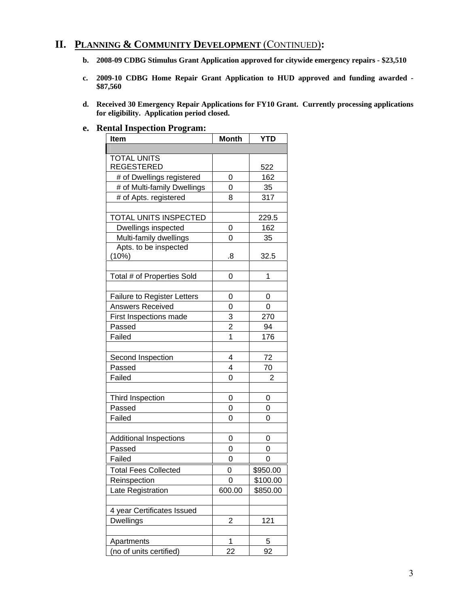# **II. PLANNING & COMMUNITY DEVELOPMENT** (CONTINUED)**:**

- **b. 2008-09 CDBG Stimulus Grant Application approved for citywide emergency repairs \$23,510**
- **c. 2009-10 CDBG Home Repair Grant Application to HUD approved and funding awarded \$87,560**
- **d. Received 30 Emergency Repair Applications for FY10 Grant. Currently processing applications for eligibility. Application period closed.**

#### **e. Rental Inspection Program:**

| <b>Item</b>                                                   | <b>Month</b>   | <b>YTD</b> |
|---------------------------------------------------------------|----------------|------------|
|                                                               |                |            |
| <b>TOTAL UNITS</b>                                            |                |            |
| <b>REGESTERED</b>                                             |                | 522        |
| # of Dwellings registered                                     | 0              | 162        |
| # of Multi-family Dwellings                                   | 0              | 35         |
| # of Apts. registered                                         | 8              | 317        |
|                                                               |                |            |
| TOTAL UNITS INSPECTED                                         |                | 229.5      |
| Dwellings inspected                                           | 0              | 162        |
| Multi-family dwellings                                        | 0              | 35         |
| Apts. to be inspected                                         |                |            |
| (10%)                                                         | .8             | 32.5       |
|                                                               |                |            |
| Total # of Properties Sold                                    | 0              | 1          |
|                                                               |                |            |
| <b>Failure to Register Letters</b><br><b>Answers Received</b> | 0              | 0          |
|                                                               | 0              | 0          |
| First Inspections made                                        | 3              | 270        |
| Passed                                                        | $\overline{2}$ | 94         |
| Failed                                                        | 1              | 176        |
|                                                               | 4              |            |
| Second Inspection<br>Passed                                   | 4              | 72<br>70   |
| Failed                                                        | 0              | 2          |
|                                                               |                |            |
| Third Inspection                                              | 0              | 0          |
| Passed                                                        | 0              | 0          |
| Failed                                                        | 0              | 0          |
|                                                               |                |            |
| <b>Additional Inspections</b>                                 | 0              | 0          |
| Passed                                                        | 0              | 0          |
| Failed                                                        | 0              | 0          |
| <b>Total Fees Collected</b>                                   | 0              | \$950.00   |
| Reinspection                                                  | 0              | \$100.00   |
| Late Registration                                             | 600.00         | \$850.00   |
|                                                               |                |            |
| 4 year Certificates Issued                                    |                |            |
| <b>Dwellings</b>                                              | $\overline{c}$ | 121        |
|                                                               |                |            |
| Apartments                                                    | 1              | 5          |
| (no of units certified)                                       | 22             | 92         |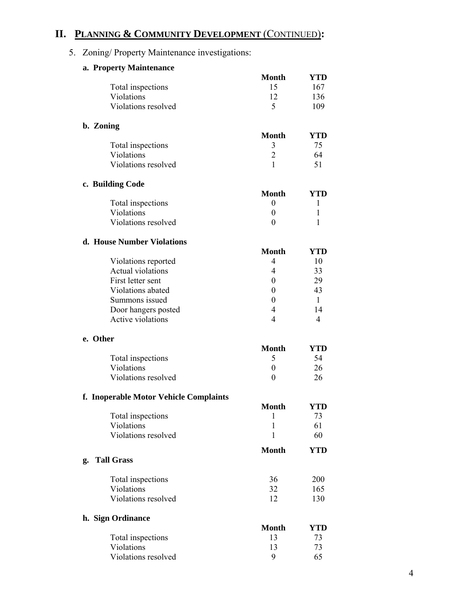# **II. PLANNING & COMMUNITY DEVELOPMENT** (CONTINUED)**:**

# 5. Zoning/ Property Maintenance investigations:

|    | a. Property Maintenance                |                |              |
|----|----------------------------------------|----------------|--------------|
|    |                                        | <b>Month</b>   | YTD          |
|    | Total inspections                      | 15             | 167          |
|    | Violations                             | 12             | 136          |
|    | Violations resolved                    | 5              | 109          |
|    | b. Zoning                              |                |              |
|    |                                        | <b>Month</b>   | YTD          |
|    | Total inspections                      | 3              | 75           |
|    | Violations                             | $\overline{2}$ | 64           |
|    | Violations resolved                    | 1              | 51           |
|    | c. Building Code                       |                |              |
|    |                                        | <b>Month</b>   | YTD          |
|    | Total inspections                      | 0              | 1            |
|    | Violations                             | 0              | 1            |
|    | Violations resolved                    | $\theta$       | 1            |
|    | d. House Number Violations             |                |              |
|    |                                        | <b>Month</b>   | YTD          |
|    | Violations reported                    | 4              | 10           |
|    | <b>Actual violations</b>               | 4              | 33           |
|    | First letter sent                      | $\theta$       | 29           |
|    | Violations abated                      | $\theta$       | 43           |
|    | Summons issued                         | 0              | $\mathbf{1}$ |
|    | Door hangers posted                    | 4              | 14           |
|    | Active violations                      | 4              | 4            |
|    | e. Other                               |                |              |
|    |                                        | <b>Month</b>   | YTD          |
|    | Total inspections                      | 5              | 54           |
|    | Violations                             | 0              | 26           |
|    | Violations resolved                    | 0              | 26           |
|    | f. Inoperable Motor Vehicle Complaints |                |              |
|    |                                        | <b>Month</b>   | <b>YTD</b>   |
|    | Total inspections                      | 1              | 73           |
|    | Violations                             | 1              | 61           |
|    | Violations resolved                    | 1              | 60           |
|    |                                        | <b>Month</b>   | YTD          |
| g. | <b>Tall Grass</b>                      |                |              |
|    | Total inspections                      | 36             | 200          |
|    | Violations                             | 32             | 165          |
|    | Violations resolved                    | 12             | 130          |
|    | h. Sign Ordinance                      |                |              |
|    |                                        | <b>Month</b>   | YTD          |
|    | Total inspections                      | 13             | 73           |
|    | Violations                             | 13             | 73           |
|    | Violations resolved                    | 9              | 65           |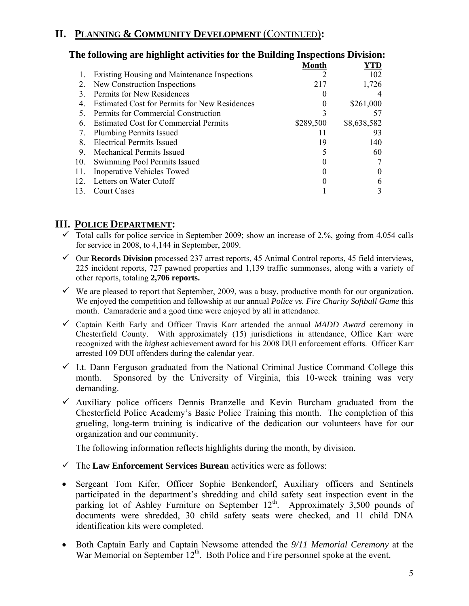# **II. PLANNING & COMMUNITY DEVELOPMENT** (CONTINUED)**:**

|     | the following are inglinglit activities for the Dunding Hispections Division. |              |             |
|-----|-------------------------------------------------------------------------------|--------------|-------------|
|     |                                                                               | <b>Month</b> | YTD         |
|     | <b>Existing Housing and Maintenance Inspections</b>                           |              | 102         |
| 2.  | New Construction Inspections                                                  | 217          | 1,726       |
| 3.  | Permits for New Residences                                                    |              |             |
| 4.  | Estimated Cost for Permits for New Residences                                 | $_{0}$       | \$261,000   |
| 5.  | Permits for Commercial Construction                                           |              | 57          |
| 6.  | <b>Estimated Cost for Commercial Permits</b>                                  | \$289,500    | \$8,638,582 |
| 7.  | <b>Plumbing Permits Issued</b>                                                |              | 93          |
| 8.  | <b>Electrical Permits Issued</b>                                              | 19           | 140         |
| 9.  | <b>Mechanical Permits Issued</b>                                              |              | 60          |
| 10. | Swimming Pool Permits Issued                                                  |              |             |
| 11. | <b>Inoperative Vehicles Towed</b>                                             |              |             |
| 12. | Letters on Water Cutoff                                                       |              | 6           |
| 13. | <b>Court Cases</b>                                                            |              |             |
|     |                                                                               |              |             |

# **The following are highlight activities for the Building Inspections Division:**

### **III. POLICE DEPARTMENT:**

- $\checkmark$  Total calls for police service in September 2009; show an increase of 2.%, going from 4,054 calls for service in 2008, to 4,144 in September, 2009.
- 9 Our **Records Division** processed 237 arrest reports, 45 Animal Control reports, 45 field interviews, 225 incident reports, 727 pawned properties and 1,139 traffic summonses, along with a variety of other reports, totaling **2,706 reports.**
- $\checkmark$  We are pleased to report that September, 2009, was a busy, productive month for our organization. We enjoyed the competition and fellowship at our annual *Police vs. Fire Charity Softball Game* this month. Camaraderie and a good time were enjoyed by all in attendance.
- 9 Captain Keith Early and Officer Travis Karr attended the annual *MADD Award* ceremony in Chesterfield County. With approximately (15) jurisdictions in attendance, Office Karr were recognized with the *highest* achievement award for his 2008 DUI enforcement efforts. Officer Karr arrested 109 DUI offenders during the calendar year.
- $\checkmark$  Lt. Dann Ferguson graduated from the National Criminal Justice Command College this month. Sponsored by the University of Virginia, this 10-week training was very demanding.
- $\checkmark$  Auxiliary police officers Dennis Branzelle and Kevin Burcham graduated from the Chesterfield Police Academy's Basic Police Training this month. The completion of this grueling, long-term training is indicative of the dedication our volunteers have for our organization and our community.

The following information reflects highlights during the month, by division.

- $\checkmark$  The **Law Enforcement Services Bureau** activities were as follows:
- Sergeant Tom Kifer, Officer Sophie Benkendorf, Auxiliary officers and Sentinels participated in the department's shredding and child safety seat inspection event in the parking lot of Ashley Furniture on September  $12<sup>th</sup>$ . Approximately 3,500 pounds of documents were shredded, 30 child safety seats were checked, and 11 child DNA identification kits were completed.
- Both Captain Early and Captain Newsome attended the *9/11 Memorial Ceremony* at the War Memorial on September 12<sup>th</sup>. Both Police and Fire personnel spoke at the event.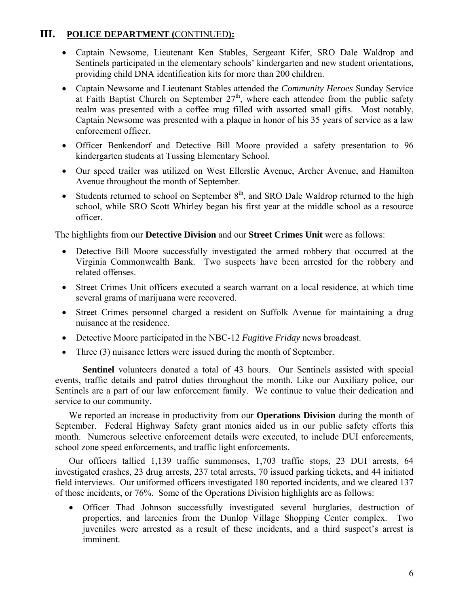# **III. POLICE DEPARTMENT (**CONTINUED**):**

- Captain Newsome, Lieutenant Ken Stables, Sergeant Kifer, SRO Dale Waldrop and Sentinels participated in the elementary schools' kindergarten and new student orientations, providing child DNA identification kits for more than 200 children.
- Captain Newsome and Lieutenant Stables attended the *Community Heroes* Sunday Service at Faith Baptist Church on September  $27<sup>th</sup>$ , where each attendee from the public safety realm was presented with a coffee mug filled with assorted small gifts. Most notably, Captain Newsome was presented with a plaque in honor of his 35 years of service as a law enforcement officer.
- Officer Benkendorf and Detective Bill Moore provided a safety presentation to 96 kindergarten students at Tussing Elementary School.
- Our speed trailer was utilized on West Ellerslie Avenue, Archer Avenue, and Hamilton Avenue throughout the month of September.
- Students returned to school on September  $8<sup>th</sup>$ , and SRO Dale Waldrop returned to the high school, while SRO Scott Whirley began his first year at the middle school as a resource officer.

The highlights from our **Detective Division** and our **Street Crimes Unit** were as follows:

- Detective Bill Moore successfully investigated the armed robbery that occurred at the Virginia Commonwealth Bank. Two suspects have been arrested for the robbery and related offenses.
- Street Crimes Unit officers executed a search warrant on a local residence, at which time several grams of marijuana were recovered.
- Street Crimes personnel charged a resident on Suffolk Avenue for maintaining a drug nuisance at the residence.
- Detective Moore participated in the NBC-12 *Fugitive Friday* news broadcast.
- Three (3) nuisance letters were issued during the month of September.

**Sentinel** volunteers donated a total of 43 hours. Our Sentinels assisted with special events, traffic details and patrol duties throughout the month. Like our Auxiliary police, our Sentinels are a part of our law enforcement family. We continue to value their dedication and service to our community.

We reported an increase in productivity from our **Operations Division** during the month of September. Federal Highway Safety grant monies aided us in our public safety efforts this month. Numerous selective enforcement details were executed, to include DUI enforcements, school zone speed enforcements, and traffic light enforcements.

Our officers tallied 1,139 traffic summonses, 1,703 traffic stops, 23 DUI arrests, 64 investigated crashes, 23 drug arrests, 237 total arrests, 70 issued parking tickets, and 44 initiated field interviews. Our uniformed officers investigated 180 reported incidents, and we cleared 137 of those incidents, or 76%. Some of the Operations Division highlights are as follows:

• Officer Thad Johnson successfully investigated several burglaries, destruction of properties, and larcenies from the Dunlop Village Shopping Center complex. Two juveniles were arrested as a result of these incidents, and a third suspect's arrest is imminent.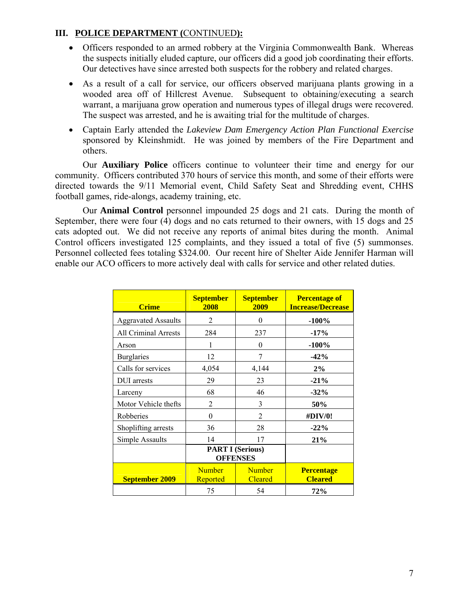### **III. POLICE DEPARTMENT (**CONTINUED**):**

- Officers responded to an armed robbery at the Virginia Commonwealth Bank. Whereas the suspects initially eluded capture, our officers did a good job coordinating their efforts. Our detectives have since arrested both suspects for the robbery and related charges.
- As a result of a call for service, our officers observed marijuana plants growing in a wooded area off of Hillcrest Avenue. Subsequent to obtaining/executing a search warrant, a marijuana grow operation and numerous types of illegal drugs were recovered. The suspect was arrested, and he is awaiting trial for the multitude of charges.
- Captain Early attended the *Lakeview Dam Emergency Action Plan Functional Exercise* sponsored by Kleinshmidt. He was joined by members of the Fire Department and others.

 Our **Auxiliary Police** officers continue to volunteer their time and energy for our community. Officers contributed 370 hours of service this month, and some of their efforts were directed towards the 9/11 Memorial event, Child Safety Seat and Shredding event, CHHS football games, ride-alongs, academy training, etc.

 Our **Animal Control** personnel impounded 25 dogs and 21 cats. During the month of September, there were four (4) dogs and no cats returned to their owners, with 15 dogs and 25 cats adopted out. We did not receive any reports of animal bites during the month. Animal Control officers investigated 125 complaints, and they issued a total of five (5) summonses. Personnel collected fees totaling \$324.00. Our recent hire of Shelter Aide Jennifer Harman will enable our ACO officers to more actively deal with calls for service and other related duties.

| <b>Crime</b>                | <b>September</b><br>2008  | <b>September</b><br>2009                   | <b>Percentage of</b><br><b>Increase/Decrease</b> |
|-----------------------------|---------------------------|--------------------------------------------|--------------------------------------------------|
| <b>Aggravated Assaults</b>  | $\overline{2}$            | 0                                          | $-100%$                                          |
| <b>All Criminal Arrests</b> | 284                       | 237                                        | $-17%$                                           |
| Arson                       | 1                         | $\theta$                                   | $-100%$                                          |
| <b>Burglaries</b>           | 12                        | 7                                          | $-42%$                                           |
| Calls for services          | 4,054                     | 4,144                                      | 2%                                               |
| DUI arrests                 | 29                        | 23                                         | $-21%$                                           |
| Larceny                     | 68                        | 46                                         | $-32%$                                           |
| Motor Vehicle thefts        | 2                         | 3                                          | 50%                                              |
| Robberies                   | $\theta$                  | $\overline{2}$                             | #DIV/0!                                          |
| Shoplifting arrests         | 36                        | 28                                         | $-22%$                                           |
| Simple Assaults             | 14                        | 17                                         | 21%                                              |
|                             |                           | <b>PART I (Serious)</b><br><b>OFFENSES</b> |                                                  |
| <b>September 2009</b>       | <b>Number</b><br>Reported | <b>Number</b><br><b>Cleared</b>            | <b>Percentage</b><br><b>Cleared</b>              |
|                             | 75                        | 54                                         | 72%                                              |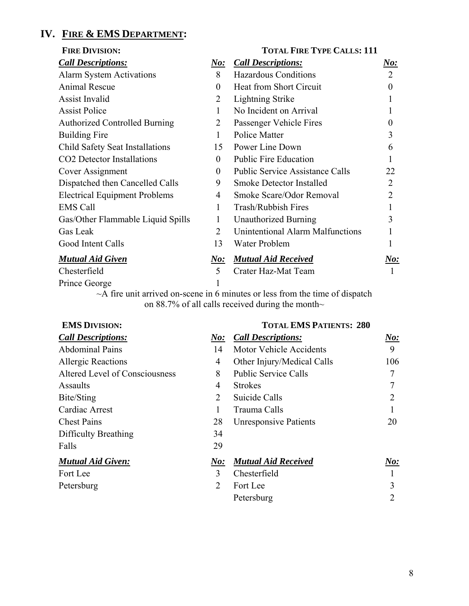# **IV. FIRE & EMS DEPARTMENT:**

| <b>FIRE DIVISION:</b>                  |                             | <b>TOTAL FIRE TYPE CALLS: 111</b>       |                |  |
|----------------------------------------|-----------------------------|-----------------------------------------|----------------|--|
| <b>Call Descriptions:</b>              | <u>No:</u>                  | <b>Call Descriptions:</b>               | <u>No:</u>     |  |
| <b>Alarm System Activations</b>        | 8                           | <b>Hazardous Conditions</b>             | $\overline{2}$ |  |
| <b>Animal Rescue</b>                   | $\theta$                    | Heat from Short Circuit                 | $\theta$       |  |
| <b>Assist Invalid</b>                  | 2                           | <b>Lightning Strike</b>                 |                |  |
| <b>Assist Police</b>                   | 1                           | No Incident on Arrival                  |                |  |
| <b>Authorized Controlled Burning</b>   | 2                           | Passenger Vehicle Fires                 | 0              |  |
| <b>Building Fire</b>                   | 1                           | Police Matter                           | 3              |  |
| Child Safety Seat Installations        | 15                          | Power Line Down                         | 6              |  |
| CO <sub>2</sub> Detector Installations | $\theta$                    | <b>Public Fire Education</b>            |                |  |
| Cover Assignment                       | $\theta$                    | <b>Public Service Assistance Calls</b>  | 22             |  |
| Dispatched then Cancelled Calls        | 9                           | <b>Smoke Detector Installed</b>         | 2              |  |
| <b>Electrical Equipment Problems</b>   | 4                           | Smoke Scare/Odor Removal                | 2              |  |
| <b>EMS Call</b>                        | 1                           | <b>Trash/Rubbish Fires</b>              |                |  |
| Gas/Other Flammable Liquid Spills      | 1                           | <b>Unauthorized Burning</b>             | 3              |  |
| Gas Leak                               | $\mathcal{D}_{\mathcal{L}}$ | <b>Unintentional Alarm Malfunctions</b> |                |  |
| Good Intent Calls                      | 13                          | Water Problem                           |                |  |
| <b>Mutual Aid Given</b>                | <u>No:</u>                  | <b>Mutual Aid Received</b>              | <u>No:</u>     |  |
| Chesterfield                           | 5                           | Crater Haz-Mat Team                     |                |  |
| Prince George                          |                             |                                         |                |  |
|                                        |                             |                                         |                |  |

~A fire unit arrived on-scene in 6 minutes or less from the time of dispatch on 88.7% of all calls received during the month $\sim$ 

| <b>EMS DIVISION:</b>           |                             | <b>TOTAL EMS PATIENTS: 280</b> |                |
|--------------------------------|-----------------------------|--------------------------------|----------------|
| <b>Call Descriptions:</b>      | N o:                        | <b>Call Descriptions:</b>      | $N_{0}$ :      |
| <b>Abdominal Pains</b>         | 14                          | Motor Vehicle Accidents        | 9              |
| <b>Allergic Reactions</b>      | 4                           | Other Injury/Medical Calls     | 106            |
| Altered Level of Consciousness | 8                           | <b>Public Service Calls</b>    | 7              |
| Assaults                       | 4                           | <b>Strokes</b>                 |                |
| Bite/Sting                     | 2                           | Suicide Calls                  | $\overline{2}$ |
| Cardiac Arrest                 |                             | Trauma Calls                   |                |
| <b>Chest Pains</b>             | 28                          | <b>Unresponsive Patients</b>   | 20             |
| Difficulty Breathing           | 34                          |                                |                |
| Falls                          | 29                          |                                |                |
| <b>Mutual Aid Given:</b>       | $\bm{No:}$                  | <b>Mutual Aid Received</b>     | $N_{0}$ :      |
| Fort Lee                       | 3                           | Chesterfield                   |                |
| Petersburg                     | $\mathcal{D}_{\mathcal{L}}$ | Fort Lee                       | 3              |
|                                |                             | Petersburg                     | 2              |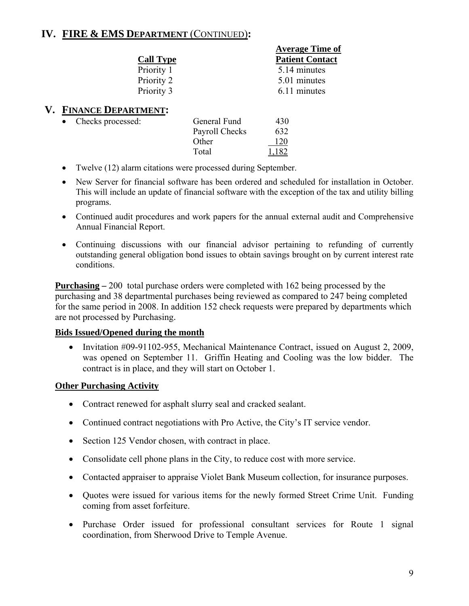# **IV. FIRE & EMS DEPARTMENT** (CONTINUED)**:**

|           |                        |                | <b>Average Time of</b> |
|-----------|------------------------|----------------|------------------------|
|           | <b>Call Type</b>       |                | <b>Patient Contact</b> |
|           | Priority 1             |                | 5.14 minutes           |
|           | Priority 2             |                | 5.01 minutes           |
|           | Priority 3             |                | 6.11 minutes           |
|           | V. FINANCE DEPARTMENT: |                |                        |
| $\bullet$ | Checks processed:      | General Fund   | 430                    |
|           |                        | Payroll Checks | 632                    |

- Twelve (12) alarm citations were processed during September.
- New Server for financial software has been ordered and scheduled for installation in October. This will include an update of financial software with the exception of the tax and utility billing programs.

Other 120 Total 1,182

- Continued audit procedures and work papers for the annual external audit and Comprehensive Annual Financial Report.
- Continuing discussions with our financial advisor pertaining to refunding of currently outstanding general obligation bond issues to obtain savings brought on by current interest rate conditions.

**Purchasing –** 200 total purchase orders were completed with 162 being processed by the purchasing and 38 departmental purchases being reviewed as compared to 247 being completed for the same period in 2008. In addition 152 check requests were prepared by departments which are not processed by Purchasing.

#### **Bids Issued/Opened during the month**

• Invitation #09-91102-955, Mechanical Maintenance Contract, issued on August 2, 2009, was opened on September 11. Griffin Heating and Cooling was the low bidder. The contract is in place, and they will start on October 1.

### **Other Purchasing Activity**

- Contract renewed for asphalt slurry seal and cracked sealant.
- Continued contract negotiations with Pro Active, the City's IT service vendor.
- Section 125 Vendor chosen, with contract in place.
- Consolidate cell phone plans in the City, to reduce cost with more service.
- Contacted appraiser to appraise Violet Bank Museum collection, for insurance purposes.
- Quotes were issued for various items for the newly formed Street Crime Unit. Funding coming from asset forfeiture.
- Purchase Order issued for professional consultant services for Route 1 signal coordination, from Sherwood Drive to Temple Avenue.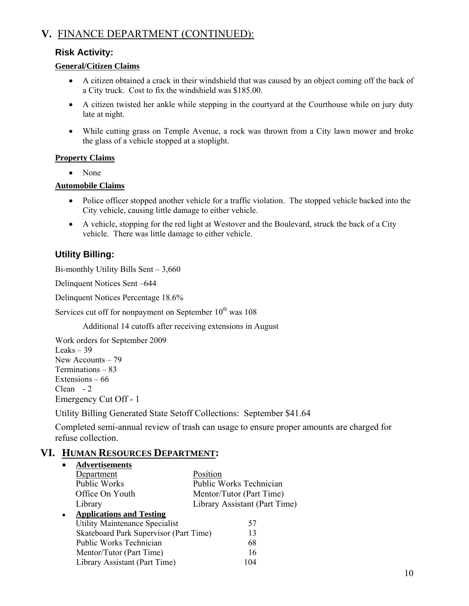# **V.** FINANCE DEPARTMENT (CONTINUED):

### **Risk Activity:**

### **General/Citizen Claims**

- A citizen obtained a crack in their windshield that was caused by an object coming off the back of a City truck. Cost to fix the windshield was \$185.00.
- A citizen twisted her ankle while stepping in the courtyard at the Courthouse while on jury duty late at night.
- While cutting grass on Temple Avenue, a rock was thrown from a City lawn mower and broke the glass of a vehicle stopped at a stoplight.

#### **Property Claims**

• None

#### **Automobile Claims**

- Police officer stopped another vehicle for a traffic violation. The stopped vehicle backed into the City vehicle, causing little damage to either vehicle.
- A vehicle, stopping for the red light at Westover and the Boulevard, struck the back of a City vehicle. There was little damage to either vehicle.

# **Utility Billing:**

Bi-monthly Utility Bills Sent – 3,660

Delinquent Notices Sent –644

Delinquent Notices Percentage 18.6%

Services cut off for nonpayment on September  $10^{th}$  was  $108$ 

Additional 14 cutoffs after receiving extensions in August

Work orders for September 2009 Leaks  $-39$ New Accounts – 79 Terminations – 83 Extensions – 66 Clean - 2 Emergency Cut Off - 1

Utility Billing Generated State Setoff Collections: September \$41.64

Completed semi-annual review of trash can usage to ensure proper amounts are charged for refuse collection.

### **VI. HUMAN RESOURCES DEPARTMENT:**

|           | <b>Advertisements</b>                  |                                |
|-----------|----------------------------------------|--------------------------------|
|           | Department                             | Position                       |
|           | <b>Public Works</b>                    | <b>Public Works Technician</b> |
|           | Office On Youth                        | Mentor/Tutor (Part Time)       |
|           | Library                                | Library Assistant (Part Time)  |
| $\bullet$ | <b>Applications and Testing</b>        |                                |
|           | <b>Utility Maintenance Specialist</b>  | 57                             |
|           | Skateboard Park Supervisor (Part Time) | 13                             |
|           | Public Works Technician                | 68                             |
|           | Mentor/Tutor (Part Time)               | 16                             |
|           | Library Assistant (Part Time)          | 104                            |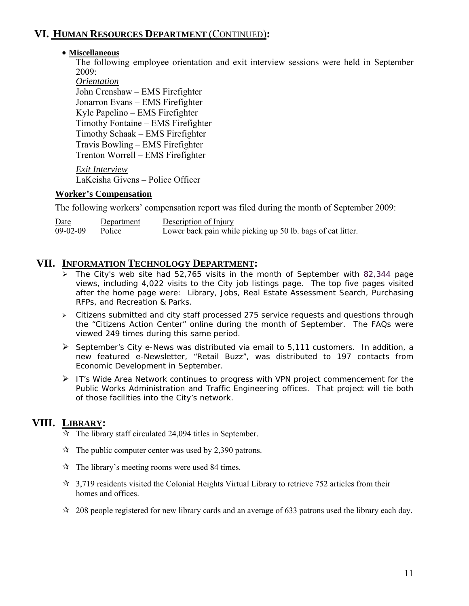# **VI. HUMAN RESOURCES DEPARTMENT** (CONTINUED)**:**

### • **Miscellaneous**

The following employee orientation and exit interview sessions were held in September 2009:

*Orientation* John Crenshaw – EMS Firefighter Jonarron Evans – EMS Firefighter Kyle Papelino – EMS Firefighter Timothy Fontaine – EMS Firefighter Timothy Schaak – EMS Firefighter Travis Bowling – EMS Firefighter Trenton Worrell – EMS Firefighter

*Exit Interview* LaKeisha Givens – Police Officer

### **Worker's Compensation**

The following workers' compensation report was filed during the month of September 2009:

Date Department Description of Injury 09-02-09 Police Lower back pain while picking up 50 lb. bags of cat litter.

### **VII. INFORMATION TECHNOLOGY DEPARTMENT:**

- $\triangleright$  The City's web site had 52,765 visits in the month of September with 82,344 page views, including 4,022 visits to the City job listings page. The top five pages visited after the home page were: Library, Jobs, Real Estate Assessment Search, Purchasing RFPs, and Recreation & Parks.
- ¾ Citizens submitted and city staff processed 275 service requests and questions through the "Citizens Action Center" online during the month of September. The FAQs were viewed 249 times during this same period.
- $\triangleright$  September's City e-News was distributed via email to 5,111 customers. In addition, a new featured e-Newsletter, "Retail Buzz", was distributed to 197 contacts from Economic Development in September.
- ¾ IT's Wide Area Network continues to progress with VPN project commencement for the Public Works Administration and Traffic Engineering offices. That project will tie both of those facilities into the City's network.

# **VIII. LIBRARY:**

- $\hat{x}$  The library staff circulated 24,094 titles in September.
- $\hat{x}$  The public computer center was used by 2,390 patrons.
- $\mathcal{R}$  The library's meeting rooms were used 84 times.
- $\approx$  3,719 residents visited the Colonial Heights Virtual Library to retrieve 752 articles from their homes and offices.
- $\approx$  208 people registered for new library cards and an average of 633 patrons used the library each day.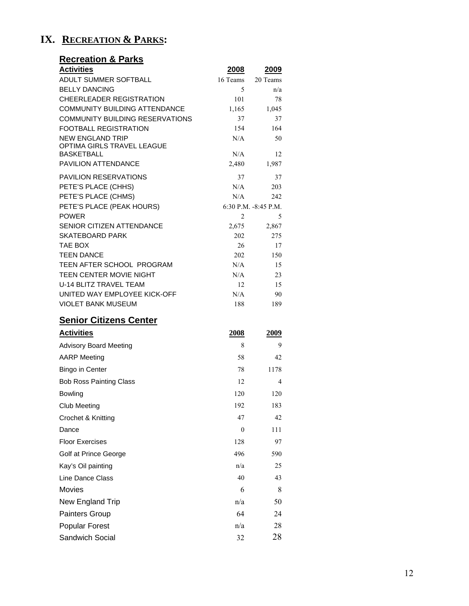# **IX. RECREATION & PARKS:**

| <b>Recreation &amp; Parks</b>                                          |                |                                 |
|------------------------------------------------------------------------|----------------|---------------------------------|
| <b>Activities</b>                                                      | 2008           | 2009                            |
| ADULT SUMMER SOFTBALL                                                  | 16 Teams       | 20 Teams                        |
| <b>BELLY DANCING</b>                                                   | 5              | n/a                             |
| <b>CHEERLEADER REGISTRATION</b>                                        | 101            | 78                              |
| <b>COMMUNITY BUILDING ATTENDANCE</b>                                   | 1,165          | 1,045                           |
| <b>COMMUNITY BUILDING RESERVATIONS</b><br><b>FOOTBALL REGISTRATION</b> | 37<br>154      | 37<br>164                       |
| <b>NEW ENGLAND TRIP</b>                                                | N/A            | 50                              |
| OPTIMA GIRLS TRAVEL LEAGUE                                             |                |                                 |
| BASKETBALL                                                             | N/A            | 12                              |
| PAVILION ATTENDANCE                                                    | 2,480          | 1,987                           |
| PAVILION RESERVATIONS                                                  | 37             | 37                              |
| PETE'S PLACE (CHHS)                                                    | N/A            | 203                             |
| PETE'S PLACE (CHMS)<br>PETE'S PLACE (PEAK HOURS)                       | N/A            | 242<br>$6:30$ P.M. $-8:45$ P.M. |
| <b>POWER</b>                                                           | $\overline{2}$ | 5                               |
| SENIOR CITIZEN ATTENDANCE                                              | 2,675          | 2,867                           |
| <b>SKATEBOARD PARK</b>                                                 | 202            | 275                             |
| TAE BOX                                                                | 26             | 17                              |
| <b>TEEN DANCE</b>                                                      | 202            | 150                             |
| TEEN AFTER SCHOOL PROGRAM                                              | N/A            | 15                              |
| TEEN CENTER MOVIE NIGHT                                                | N/A            | 23                              |
| U-14 BLITZ TRAVEL TEAM                                                 | 12             | 15                              |
| UNITED WAY EMPLOYEE KICK-OFF<br><b>VIOLET BANK MUSEUM</b>              | N/A<br>188     | 90<br>189                       |
|                                                                        |                |                                 |
| <b>Senior Citizens Center</b>                                          |                |                                 |
| <b>Activities</b>                                                      | <b>2008</b>    | <u>2009</u>                     |
| <b>Advisory Board Meeting</b>                                          | 8              | 9                               |
| <b>AARP</b> Meeting                                                    | 58             | 42                              |
| Bingo in Center                                                        | 78             | 1178                            |
| <b>Bob Ross Painting Class</b>                                         | 12             | 4                               |
| Bowling                                                                | 120            | 120                             |
| <b>Club Meeting</b>                                                    | 192            | 183                             |
| Crochet & Knitting                                                     | 47             | 42                              |
| Dance                                                                  | $\mathbf{0}$   | 111                             |
| <b>Floor Exercises</b>                                                 | 128            | 97                              |
| Golf at Prince George                                                  | 496            | 590                             |
| Kay's Oil painting                                                     | n/a            | 25                              |
| Line Dance Class                                                       | 40             | 43                              |
| Movies                                                                 | 6              | 8                               |
| New England Trip                                                       | n/a            | 50                              |
| <b>Painters Group</b>                                                  | 64             | 24                              |
| <b>Popular Forest</b>                                                  | n/a            | 28                              |
| Sandwich Social                                                        | 32             | 28                              |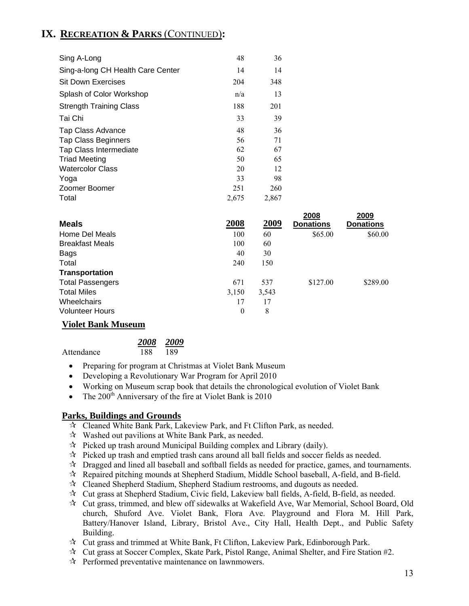# **IX. RECREATION & PARKS** (CONTINUED)**:**

| Sing A-Long                       | 48    | 36    |          |
|-----------------------------------|-------|-------|----------|
| Sing-a-long CH Health Care Center | 14    | 14    |          |
| <b>Sit Down Exercises</b>         | 204   | 348   |          |
| Splash of Color Workshop          | n/a   | 13    |          |
| <b>Strength Training Class</b>    | 188   | 201   |          |
| Tai Chi                           | 33    | 39    |          |
| Tap Class Advance                 | 48    | 36    |          |
| <b>Tap Class Beginners</b>        | 56    | 71    |          |
| <b>Tap Class Intermediate</b>     | 62    | 67    |          |
| <b>Triad Meeting</b>              | 50    | 65    |          |
| <b>Watercolor Class</b>           | 20    | 12    |          |
| Yoga                              | 33    | 98    |          |
| Zoomer Boomer                     | 251   | 260   |          |
| Total                             | 2,675 | 2,867 |          |
|                                   |       |       | $\cdots$ |

|                         |          |       | 2008             | 2009             |
|-------------------------|----------|-------|------------------|------------------|
| <b>Meals</b>            | 2008     | 2009  | <b>Donations</b> | <b>Donations</b> |
| Home Del Meals          | 100      | 60    | \$65.00          | \$60.00          |
| <b>Breakfast Meals</b>  | 100      | 60    |                  |                  |
| Bags                    | 40       | 30    |                  |                  |
| Total                   | 240      | 150   |                  |                  |
| <b>Transportation</b>   |          |       |                  |                  |
| <b>Total Passengers</b> | 671      | 537   | \$127.00         | \$289.00         |
| <b>Total Miles</b>      | 3,150    | 3,543 |                  |                  |
| <b>Wheelchairs</b>      | 17       | 17    |                  |                  |
| <b>Volunteer Hours</b>  | $\theta$ | 8     |                  |                  |
|                         |          |       |                  |                  |

### **Violet Bank Museum**

|            |     | 2008 2009 |
|------------|-----|-----------|
| Attendance | 188 | 189       |

- Preparing for program at Christmas at Violet Bank Museum
- Developing a Revolutionary War Program for April 2010
- Working on Museum scrap book that details the chronological evolution of Violet Bank
- The  $200^{\text{th}}$  Anniversary of the fire at Violet Bank is 2010

#### **Parks, Buildings and Grounds**

- Cleaned White Bank Park, Lakeview Park, and Ft Clifton Park, as needed.
- Washed out pavilions at White Bank Park, as needed.
- $\mathcal{R}$  Picked up trash around Municipal Building complex and Library (daily).
- $\mathcal{R}$  Picked up trash and emptied trash cans around all ball fields and soccer fields as needed.
- $\mathcal{R}$  Dragged and lined all baseball and softball fields as needed for practice, games, and tournaments.
- $\mathcal{R}$  Repaired pitching mounds at Shepherd Stadium, Middle School baseball, A-field, and B-field.
- $\mathcal{R}$  Cleaned Shepherd Stadium, Shepherd Stadium restrooms, and dugouts as needed.
- $\mathcal{R}$  Cut grass at Shepherd Stadium, Civic field, Lakeview ball fields, A-field, B-field, as needed.
- Cut grass, trimmed, and blew off sidewalks at Wakefield Ave, War Memorial, School Board, Old church, Shuford Ave. Violet Bank, Flora Ave. Playground and Flora M. Hill Park, Battery/Hanover Island, Library, Bristol Ave., City Hall, Health Dept., and Public Safety Building.
- Cut grass and trimmed at White Bank, Ft Clifton, Lakeview Park, Edinborough Park.
- $\mathcal{R}$  Cut grass at Soccer Complex, Skate Park, Pistol Range, Animal Shelter, and Fire Station #2.
- $\mathcal{R}$  Performed preventative maintenance on lawnmowers.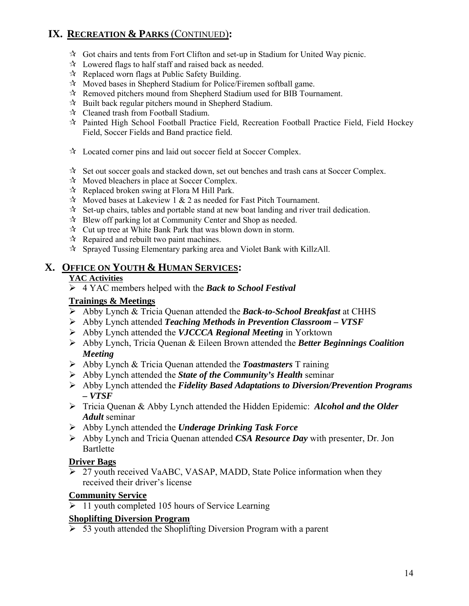# **IX. RECREATION & PARKS** (CONTINUED)**:**

- $\mathcal{R}$  Got chairs and tents from Fort Clifton and set-up in Stadium for United Way picnic.
- $\mathcal{R}$  Lowered flags to half staff and raised back as needed.
- $\mathcal{R}$  Replaced worn flags at Public Safety Building.
- $\mathcal{R}$  Moved bases in Shepherd Stadium for Police/Firemen softball game.
- Removed pitchers mound from Shepherd Stadium used for BIB Tournament.
- $\mathcal{R}$  Built back regular pitchers mound in Shepherd Stadium.
- $\mathcal{R}$  Cleaned trash from Football Stadium.
- $\mathcal{R}$  Painted High School Football Practice Field, Recreation Football Practice Field, Field Hockey Field, Soccer Fields and Band practice field.
- Located corner pins and laid out soccer field at Soccer Complex.
- $\mathcal{R}$  Set out soccer goals and stacked down, set out benches and trash cans at Soccer Complex.
- $\mathcal{R}$  Moved bleachers in place at Soccer Complex.
- $\mathcal{R}$  Replaced broken swing at Flora M Hill Park.
- $\mathcal{R}$  Moved bases at Lakeview 1 & 2 as needed for Fast Pitch Tournament.
- $\mathcal{R}$  Set-up chairs, tables and portable stand at new boat landing and river trail dedication.
- $\mathcal{R}$  Blew off parking lot at Community Center and Shop as needed.
- $\mathcal{R}$  Cut up tree at White Bank Park that was blown down in storm.
- $\mathcal{R}$  Repaired and rebuilt two paint machines.
- $\star$  Sprayed Tussing Elementary parking area and Violet Bank with KillzAll.

### **X. OFFICE ON YOUTH & HUMAN SERVICES:**

#### **YAC Activities**

¾ 4 YAC members helped with the *Back to School Festival*

#### **Trainings & Meetings**

- ¾ Abby Lynch & Tricia Quenan attended the *Back-to-School Breakfast* at CHHS
- ¾ Abby Lynch attended *Teaching Methods in Prevention Classroom VTSF*
- ¾ Abby Lynch attended the *VJCCCA Regional Meeting* in Yorktown
- ¾ Abby Lynch, Tricia Quenan & Eileen Brown attended the *Better Beginnings Coalition Meeting*
- ¾ Abby Lynch & Tricia Quenan attended the *Toastmasters* T raining
- ¾ Abby Lynch attended the *State of the Community's Health* seminar
- ¾ Abby Lynch attended the *Fidelity Based Adaptations to Diversion/Prevention Programs – VTSF*
- ¾ Tricia Quenan & Abby Lynch attended the Hidden Epidemic: *Alcohol and the Older Adult* seminar
- ¾ Abby Lynch attended the *Underage Drinking Task Force*
- ¾ Abby Lynch and Tricia Quenan attended *CSA Resource Day* with presenter, Dr. Jon Bartlette

#### **Driver Bags**

 $\overline{27}$  youth received VaABC, VASAP, MADD, State Police information when they received their driver's license

#### **Community Service**

 $\geq 11$  youth completed 105 hours of Service Learning

#### **Shoplifting Diversion Program**

 $\overline{\triangleright}$  53 youth attended the Shoplifting Diversion Program with a parent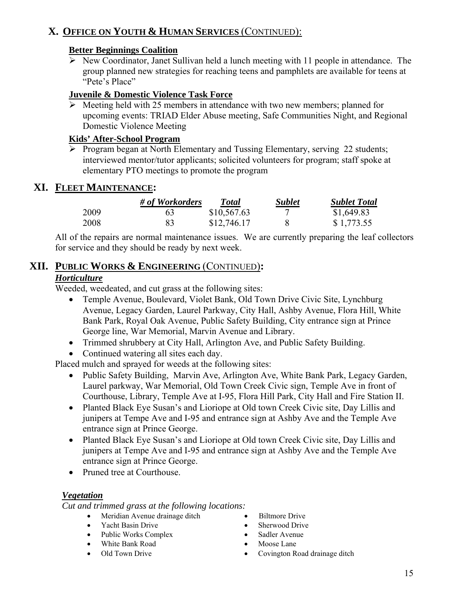# **X. OFFICE ON YOUTH & HUMAN SERVICES** (CONTINUED):

### **Better Beginnings Coalition**

 $\triangleright$  New Coordinator, Janet Sullivan held a lunch meeting with 11 people in attendance. The group planned new strategies for reaching teens and pamphlets are available for teens at "Pete's Place"

### **Juvenile & Domestic Violence Task Force**

 $\triangleright$  Meeting held with 25 members in attendance with two new members; planned for upcoming events: TRIAD Elder Abuse meeting, Safe Communities Night, and Regional Domestic Violence Meeting

### **Kids' After-School Program**

 $\triangleright$  Program began at North Elementary and Tussing Elementary, serving 22 students; interviewed mentor/tutor applicants; solicited volunteers for program; staff spoke at elementary PTO meetings to promote the program

# **XI. FLEET MAINTENANCE:**

|      | # of Workorders | Total       | <b>Sublet</b> | <b>Sublet Total</b> |
|------|-----------------|-------------|---------------|---------------------|
| 2009 | 63              | \$10,567.63 |               | \$1,649.83          |
| 2008 |                 | \$12,746.17 |               | \$1,773.55          |

All of the repairs are normal maintenance issues. We are currently preparing the leaf collectors for service and they should be ready by next week.

# **XII. PUBLIC WORKS & ENGINEERING** (CONTINUED)**:**

### *Horticulture*

Weeded, weedeated, and cut grass at the following sites:

- Temple Avenue, Boulevard, Violet Bank, Old Town Drive Civic Site, Lynchburg Avenue, Legacy Garden, Laurel Parkway, City Hall, Ashby Avenue, Flora Hill, White Bank Park, Royal Oak Avenue, Public Safety Building, City entrance sign at Prince George line, War Memorial, Marvin Avenue and Library.
- Trimmed shrubbery at City Hall, Arlington Ave, and Public Safety Building.
- Continued watering all sites each day.

Placed mulch and sprayed for weeds at the following sites:

- Public Safety Building, Marvin Ave, Arlington Ave, White Bank Park, Legacy Garden, Laurel parkway, War Memorial, Old Town Creek Civic sign, Temple Ave in front of Courthouse, Library, Temple Ave at I-95, Flora Hill Park, City Hall and Fire Station II.
- Planted Black Eye Susan's and Lioriope at Old town Creek Civic site, Day Lillis and junipers at Tempe Ave and I-95 and entrance sign at Ashby Ave and the Temple Ave entrance sign at Prince George.
- Planted Black Eye Susan's and Lioriope at Old town Creek Civic site, Day Lillis and junipers at Tempe Ave and I-95 and entrance sign at Ashby Ave and the Temple Ave entrance sign at Prince George.
- Pruned tree at Courthouse.

### *Vegetation*

*Cut and trimmed grass at the following locations:* 

- Meridian Avenue drainage ditch Biltmore Drive
- Yacht Basin Drive Sherwood Drive
- Public Works Complex Sadler Avenue
- White Bank Road Moose Lane
- 
- 
- 
- 
- 
- Old Town Drive Covington Road drainage ditch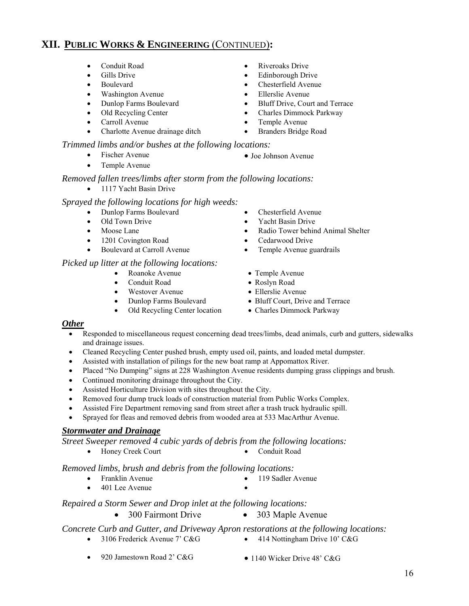- 
- 
- 
- Washington Avenue Ellerslie Avenue
- 
- 
- 
- Charlotte Avenue drainage ditch Branders Bridge Road

#### *Trimmed limbs and/or bushes at the following locations:*

- Fischer Avenue Joe Johnson Avenue
- Temple Avenue

#### *Removed fallen trees/limbs after storm from the following locations:*

• 1117 Yacht Basin Drive

#### *Sprayed the following locations for high weeds:*

- 
- 
- 
- 1201 Covington Road Cedarwood Drive
- 

#### *Picked up litter at the following locations:*

- Roanoke Avenue Temple Avenue
- 
- Westover Avenue Ellerslie Avenue
- 
- Old Recycling Center location Charles Dimmock Parkway
- Conduit Road Riveroaks Drive
- Gills Drive Edinborough Drive
	- Boulevard Chesterfield Avenue
		-
- Dunlop Farms Boulevard Bluff Drive, Court and Terrace
	- Old Recycling Center Charles Dimmock Parkway
- Carroll Avenue Temple Avenue
	-
	-
	- Dunlop Farms Boulevard Chesterfield Avenue
	- Old Town Drive Yacht Basin Drive
	- Moose Lane Radio Tower behind Animal Shelter
		-
	- Boulevard at Carroll Avenue Temple Avenue guardrails
		-
		-
		-
		- Dunlop Farms Boulevard Bluff Court, Drive and Terrace
			-

### *Other*

- Responded to miscellaneous request concerning dead trees/limbs, dead animals, curb and gutters, sidewalks and drainage issues.
- Cleaned Recycling Center pushed brush, empty used oil, paints, and loaded metal dumpster.
- Assisted with installation of pilings for the new boat ramp at Appomattox River.
- Placed "No Dumping" signs at 228 Washington Avenue residents dumping grass clippings and brush.
- Continued monitoring drainage throughout the City.
- Assisted Horticulture Division with sites throughout the City.
- Removed four dump truck loads of construction material from Public Works Complex.
- Assisted Fire Department removing sand from street after a trash truck hydraulic spill.
- Sprayed for fleas and removed debris from wooded area at 533 MacArthur Avenue.

#### *Stormwater and Drainage*

*Street Sweeper removed 4 cubic yards of debris from the following locations:* 

• Honey Creek Court • Conduit Road

*Removed limbs, brush and debris from the following locations:* 

- Franklin Avenue 119 Sadler Avenue
- 401 Lee Avenue

*Repaired a Storm Sewer and Drop inlet at the following locations:* 

• 300 Fairmont Drive • 303 Maple Avenue

*Concrete Curb and Gutter, and Driveway Apron restorations at the following locations:* 

- 3106 Frederick Avenue 7' C&G 414 Nottingham Drive 10' C&G
- 
- 
- 
- -
- Conduit Road Roslyn Road
	-
	-
	-

- 
-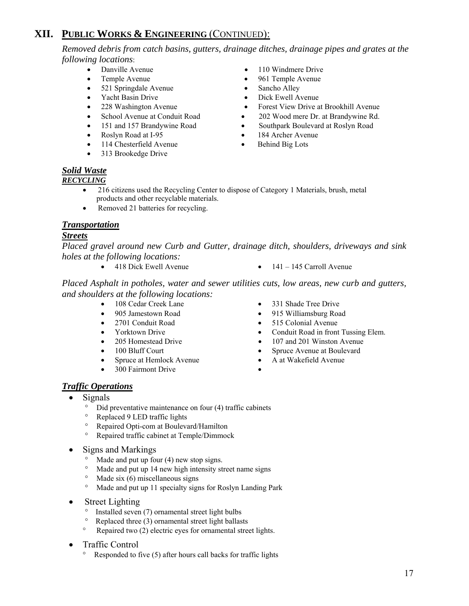*Removed debris from catch basins, gutters, drainage ditches, drainage pipes and grates at the following locations*:

- 
- 
- 521 Springdale Avenue Sancho Alley
- 
- 
- 
- 
- 
- 114 Chesterfield Avenue Behind Big Lots
- 313 Brookedge Drive
- Danville Avenue 110 Windmere Drive
	- Temple Avenue 961 Temple Avenue
		-
- Yacht Basin Drive Dick Ewell Avenue
- 228 Washington Avenue Forest View Drive at Brookhill Avenue
- School Avenue at Conduit Road 202 Wood mere Dr. at Brandywine Rd.
- 151 and 157 Brandywine Road Southpark Boulevard at Roslyn Road
- Roslyn Road at I-95 184 Archer Avenue
	-

### *Solid Waste*

#### *RECYCLING*

- 216 citizens used the Recycling Center to dispose of Category 1 Materials, brush, metal products and other recyclable materials.
- Removed 21 batteries for recycling.

#### *Transportation*

#### *Streets*

*Placed gravel around new Curb and Gutter, drainage ditch, shoulders, driveways and sink holes at the following locations:* 

- 
- 418 Dick Ewell Avenue 141 145 Carroll Avenue

*Placed Asphalt in potholes, water and sewer utilities cuts, low areas, new curb and gutters, and shoulders at the following locations:* 

- 
- 
- 
- 
- 
- 
- 
- 300 Fairmont Drive
- 
- 108 Cedar Creek Lane 331 Shade Tree Drive
	- 905 Jamestown Road 915 Williamsburg Road
	- 2701 Conduit Road 515 Colonial Avenue
	- Yorktown Drive Conduit Road in front Tussing Elem.
	- 205 Homestead Drive 107 and 201 Winston Avenue
	- 100 Bluff Court Spruce Avenue at Boulevard
	- Spruce at Hemlock Avenue A at Wakefield Avenue
		-

### *Traffic Operations*

- Signals
	- Did preventative maintenance on four (4) traffic cabinets
	- Replaced 9 LED traffic lights<br>• Repaired Opti-com at Bouleva
	- ° Repaired Opti-com at Boulevard/Hamilton
	- ° Repaired traffic cabinet at Temple/Dimmock
- Signs and Markings
	- ° Made and put up four (4) new stop signs.
	- ° Made and put up 14 new high intensity street name signs
	- Made six  $(6)$  miscellaneous signs
	- ° Made and put up 11 specialty signs for Roslyn Landing Park
- **Street Lighting** 
	- ° Installed seven (7) ornamental street light bulbs
	- Replaced three (3) ornamental street light ballasts
	- Repaired two (2) electric eyes for ornamental street lights.
- Traffic Control
	- Responded to five (5) after hours call backs for traffic lights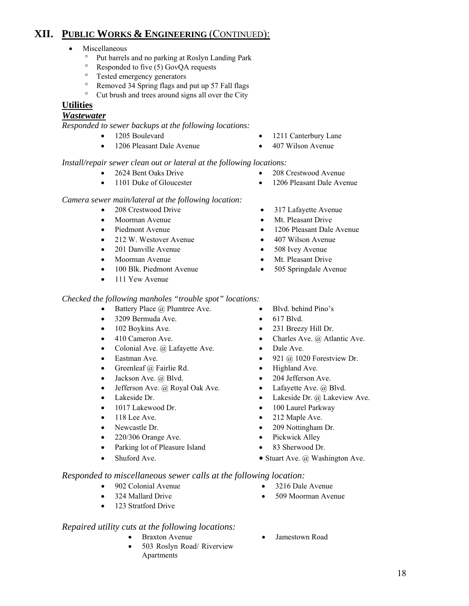- Miscellaneous
	- ° Put barrels and no parking at Roslyn Landing Park<br>
	<sup>°</sup> Perpended to five (5) GovOA requests
	- ° Responded to five (5) GovQA requests
	- ° Tested emergency generators
	- <sup>o</sup> Removed 34 Spring flags and put up 57 Fall flags<br><sup>o</sup> Cut brush and trees around signs all over the City
	- ° Cut brush and trees around signs all over the City

### **Utilities**

### *Wastewater*

*Responded to sewer backups at the following locations:*

- 
- 1206 Pleasant Dale Avenue 407 Wilson Avenue
- 1205 Boulevard 1211 Canterbury Lane
	-

#### *Install/repair sewer clean out or lateral at the following locations:*

- 2624 Bent Oaks Drive 208 Crestwood Avenue
- 
- 
- 1101 Duke of Gloucester 1206 Pleasant Dale Avenue

#### *Camera sewer main/lateral at the following location:*

- 
- 
- 
- 212 W. Westover Avenue 407 Wilson Avenue
- 
- 
- 100 Blk. Piedmont Avenue 505 Springdale Avenue
- 111 Yew Avenue
- *Checked the following manholes "trouble spot" locations:* 
	- Battery Place *(a)* Plumtree Ave. Blvd. behind Pino's
	- 3209 Bermuda Ave. 617 Blvd.
	- 102 Boykins Ave. 231 Breezy Hill Dr.
	-
	- Colonial Ave. @ Lafayette Ave. Dale Ave.
	-
	- Greenleaf @ Fairlie Rd. Highland Ave.
	- Jackson Ave. @ Blvd. 204 Jefferson Ave.
	- Jefferson Ave. @ Royal Oak Ave. Lafayette Ave. @ Blvd.
	-
	-
	-
	-
	- 220/306 Orange Ave. Pickwick Alley
	- Parking lot of Pleasure Island 83 Sherwood Dr.
	-
- 
- 
- 
- 410 Cameron Ave. Charles Ave. @ Atlantic Ave.
	-
- **Eastman Ave.** 921 @ 1020 Forestview Dr.
	-
	-
	-
- Lakeside Dr.  **Lakeside Dr.** @ Lakeside Dr. @ Lakeview Ave.
- 1017 Lakewood Dr. 100 Laurel Parkway
- 118 Lee Ave. 212 Maple Ave.
- Newcastle Dr. 209 Nottingham Dr.
	-
	-
	-

 *Responded to miscellaneous sewer calls at the following location:* 

- 902 Colonial Avenue 3216 Dale Avenue
- 
- 123 Stratford Drive
- *Repaired utility cuts at the following locations:* 
	-
	- 503 Roslyn Road/ Riverview Apartment*s*
- Braxton Avenue Jamestown Road
- 
- 208 Crestwood Drive 317 Lafayette Avenue
- Moorman Avenue Mt. Pleasant Drive
- Piedmont Avenue 1206 Pleasant Dale Avenue
	-
- 201 Danville Avenue 508 Ivey Avenue
- Moorman Avenue Mt. Pleasant Drive
	-
	- -
		-
		-
		-
		-
		-
		-
		-
		-
		-
		-
		-
		-
		-
- Stuart Ave. @ Washington Ave. 2. Stuart Ave. @ Washington Ave.
	-
	-
- 324 Mallard Drive 509 Moorman Avenue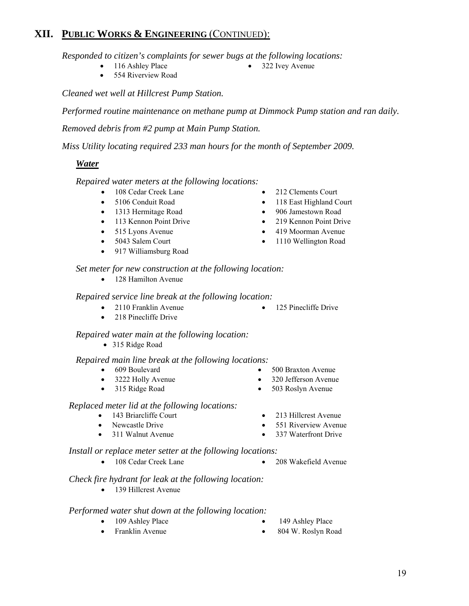*Responded to citizen's complaints for sewer bugs at the following locations:* 

- 116 Ashley Place 322 Ivey Avenue
- 

• 554 Riverview Road

*Cleaned wet well at Hillcrest Pump Station.* 

*Performed routine maintenance on methane pump at Dimmock Pump station and ran daily.*

*Removed debris from #2 pump at Main Pump Station.* 

*Miss Utility locating required 233 man hours for the month of September 2009.* 

### *Water*

*Repaired water meters at the following locations:* 

- 108 Cedar Creek Lane 212 Clements Court
- 
- 1313 Hermitage Road 906 Jamestown Road
- 113 Kennon Point Drive 219 Kennon Point Drive
- 
- 
- 917 Williamsburg Road
- 
- 5106 Conduit Road 118 East Highland Court
	-
	-
- 515 Lyons Avenue 419 Moorman Avenue
- 5043 Salem Court 1110 Wellington Road

*Set meter for new construction at the following location:* 

• 128 Hamilton Avenue

*Repaired service line break at the following location:* 

- 2110 Franklin Avenue 125 Pinecliffe Drive
- 218 Pinecliffe Drive

### *Repaired water main at the following location:*

• 315 Ridge Road

#### *Repaired main line break at the following locations:*

- 
- 3222 Holly Avenue 320 Jefferson Avenue
- 315 Ridge Road 503 Roslyn Avenue
- 609 Boulevard 500 Braxton Avenue
	-
	-

#### *Replaced meter lid at the following locations:*

- 143 Briarcliffe Court 213 Hillcrest Avenue
- Newcastle Drive 551 Riverview Avenue
- 311 Walnut Avenue 337 Waterfront Drive

### *Install or replace meter setter at the following locations:*

• 108 Cedar Creek Lane • 208 Wakefield Avenue

#### *Check fire hydrant for leak at the following location:*

• 139 Hillcrest Avenue

#### *Performed water shut down at the following location:*

- 
- 109 Ashley Place 149 Ashley Place
	- Franklin Avenue 804 W. Roslyn Road
- 
- 
- 
- 
-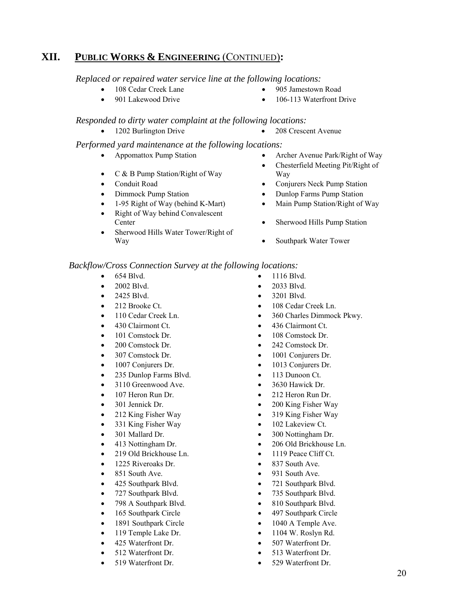*Replaced or repaired water service line at the following locations:* 

- 108 Cedar Creek Lane 905 Jamestown Road
- 901 Lakewood Drive 106-113 Waterfront Drive

#### *Responded to dirty water complaint at the following locations:*

• 1202 Burlington Drive • 208 Crescent Avenue

#### *Performed yard maintenance at the following locations:*

- 
- C & B Pump Station/Right of Way
- 
- 
- 
- Right of Way behind Convalescent Center • Sherwood Hills Pump Station
- Sherwood Hills Water Tower/Right of Way **• Southpark Water Tower**
- Appomattox Pump Station Archer Avenue Park/Right of Way
	- Chesterfield Meeting Pit/Right of Way
- Conduit Road Conjurers Neck Pump Station
- Dimmock Pump Station Dunlop Farms Pump Station
- 1-95 Right of Way (behind K-Mart) Main Pump Station/Right of Way
	-
	-

#### *Backflow/Cross Connection Survey at the following locations:*

- 654 Blvd. 1116 Blvd.
- 
- 
- 
- 
- 
- 
- 
- 
- 
- 235 Dunlop Farms Blvd. 113 Dunoon Ct.
- 3110 Greenwood Ave. 3630 Hawick Dr.
- 
- 
- 
- 331 King Fisher Way 102 Lakeview Ct.
- 
- 
- 
- 
- 851 South Ave. 931 South Ave.
- 
- 
- 798 A Southpark Blvd. 810 Southpark Blvd.
- 
- 
- 
- 
- 
- 
- 
- 2002 Blvd. 2033 Blvd.
- 2425 Blvd. 3201 Blvd.
- 212 Brooke Ct. 108 Cedar Creek Ln.
- 110 Cedar Creek Ln. 360 Charles Dimmock Pkwy.
- 430 Clairmont Ct. 436 Clairmont Ct.
- 101 Comstock Dr. 108 Comstock Dr.
- 200 Comstock Dr. 242 Comstock Dr.
- 307 Comstock Dr. 1001 Conjurers Dr.
- 1007 Conjurers Dr. 1013 Conjurers Dr.
	-
	-
- 107 Heron Run Dr. 212 Heron Run Dr.
- 301 Jennick Dr. 200 King Fisher Way
- 212 King Fisher Way 319 King Fisher Way
	-
- 301 Mallard Dr. 300 Nottingham Dr.
- 413 Nottingham Dr. 206 Old Brickhouse Ln.
- 219 Old Brickhouse Ln. 1119 Peace Cliff Ct.
- 1225 Riveroaks Dr. 837 South Ave.
	-
- 425 Southpark Blvd. 721 Southpark Blvd.
- 727 Southpark Blvd. 735 Southpark Blvd.
	-
- 165 Southpark Circle 497 Southpark Circle
	- 1891 Southpark Circle 1040 A Temple Ave.
	- 119 Temple Lake Dr. 1104 W. Roslyn Rd.
	- 425 Waterfront Dr. 507 Waterfront Dr.
	- 512 Waterfront Dr. 513 Waterfront Dr.
	- 519 Waterfront Dr. 529 Waterfront Dr.
- -
	-
-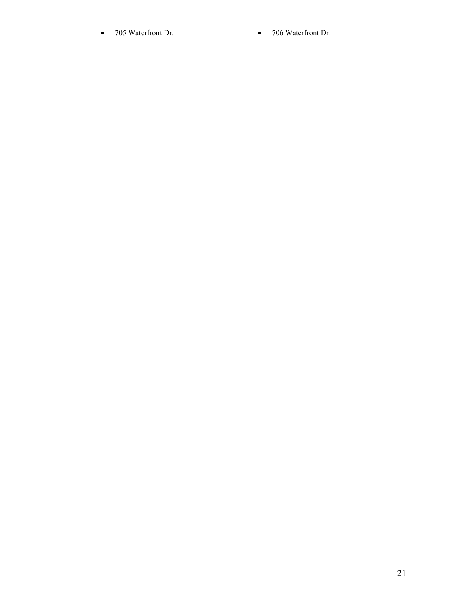- 705 Waterfront Dr. 706 Waterfront Dr.
	-